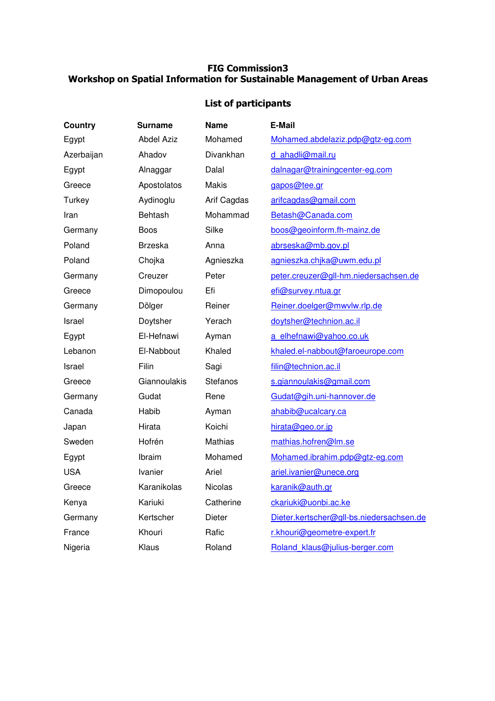## FIG Commission3 Workshop on Spatial Information for Sustainable Management of Urban Areas

## List of participants

| <b>Country</b> | Surname           | <b>Name</b>     | E-Mail                                   |
|----------------|-------------------|-----------------|------------------------------------------|
| Egypt          | <b>Abdel Aziz</b> | Mohamed         | Mohamed.abdelaziz.pdp@gtz-eg.com         |
| Azerbaijan     | Ahadov            | Divankhan       | d ahadli@mail.ru                         |
| Egypt          | Alnaggar          | Dalal           | dalnagar@trainingcenter-eg.com           |
| Greece         | Apostolatos       | Makis           | gapos@tee.gr                             |
| Turkey         | Aydinoglu         | Arif Cagdas     | arifcagdas@gmail.com                     |
| Iran           | <b>Behtash</b>    | Mohammad        | Betash@Canada.com                        |
| Germany        | <b>Boos</b>       | Silke           | boos@geoinform.fh-mainz.de               |
| Poland         | <b>Brzeska</b>    | Anna            | abrseska@mb.gov.pl                       |
| Poland         | Chojka            | Agnieszka       | agnieszka.chjka@uwm.edu.pl               |
| Germany        | Creuzer           | Peter           | peter.creuzer@gll-hm.niedersachsen.de    |
| Greece         | Dimopoulou        | Efi             | efi@survey.ntua.gr                       |
| Germany        | Dölger            | Reiner          | Reiner.doelger@mwvlw.rlp.de              |
| Israel         | Doytsher          | Yerach          | doytsher@technion.ac.il                  |
| Egypt          | El-Hefnawi        | Ayman           | a elhefnawi@yahoo.co.uk                  |
| Lebanon        | El-Nabbout        | Khaled          | khaled.el-nabbout@faroeurope.com         |
| Israel         | Filin             | Sagi            | filin@technion.ac.il                     |
| Greece         | Giannoulakis      | <b>Stefanos</b> | s.giannoulakis@gmail.com                 |
| Germany        | Gudat             | Rene            | Gudat@gih.uni-hannover.de                |
| Canada         | Habib             | Ayman           | ahabib@ucalcary.ca                       |
| Japan          | Hirata            | Koichi          | hirata@geo.or.jp                         |
| Sweden         | Hofrén            | Mathias         | mathias.hofren@lm.se                     |
| Egypt          | Ibraim            | Mohamed         | Mohamed.ibrahim.pdp@gtz-eg.com           |
| <b>USA</b>     | <b>Ivanier</b>    | Ariel           | ariel.ivanier@unece.org                  |
| Greece         | Karanikolas       | <b>Nicolas</b>  | karanik@auth.gr                          |
| Kenya          | Kariuki           | Catherine       | ckariuki@uonbi.ac.ke                     |
| Germany        | Kertscher         | Dieter          | Dieter.kertscher@gll-bs.niedersachsen.de |
| France         | Khouri            | Rafic           | r.khouri@geometre-expert.fr              |
| Nigeria        | Klaus             | Roland          | Roland klaus@julius-berger.com           |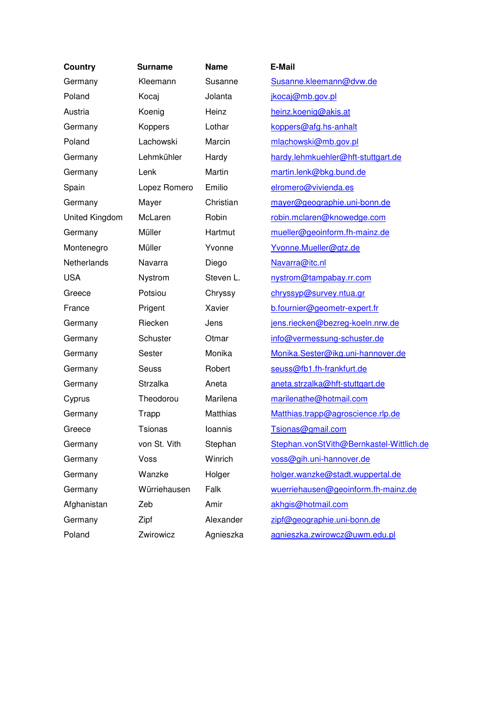| <b>Country</b> | <b>Surname</b>  | <b>Name</b>     | <b>E-Mail</b>                            |
|----------------|-----------------|-----------------|------------------------------------------|
| Germany        | Kleemann        | Susanne         | Susanne.kleemann@dvw.de                  |
| Poland         | Kocaj           | Jolanta         | jkocaj@mb.gov.pl                         |
| Austria        | Koenig          | Heinz           | heinz.koenig@akis.at                     |
| Germany        | Koppers         | Lothar          | koppers@afg.hs-anhalt                    |
| Poland         | Lachowski       | Marcin          | mlachowski@mb.gov.pl                     |
| Germany        | Lehmkühler      | Hardy           | hardy.lehmkuehler@hft-stuttgart.de       |
| Germany        | Lenk            | Martin          | martin.lenk@bkg.bund.de                  |
| Spain          | Lopez Romero    | Emilio          | elromero@vivienda.es                     |
| Germany        | Mayer           | Christian       | mayer@geographie.uni-bonn.de             |
| United Kingdom | McLaren         | Robin           | robin.mclaren@knowedge.com               |
| Germany        | Müller          | Hartmut         | mueller@geoinform.fh-mainz.de            |
| Montenegro     | Müller          | Yvonne          | Yvonne.Mueller@gtz.de                    |
| Netherlands    | Navarra         | Diego           | Navarra@itc.nl                           |
| <b>USA</b>     | Nystrom         | Steven L.       | nystrom@tampabay.rr.com                  |
| Greece         | Potsiou         | Chryssy         | chryssyp@survey.ntua.gr                  |
| France         | Prigent         | Xavier          | b.fournier@geometr-expert.fr             |
| Germany        | Riecken         | Jens            | jens.riecken@bezreg-koeln.nrw.de         |
| Germany        | Schuster        | Otmar           | info@vermessung-schuster.de              |
| Germany        | Sester          | Monika          | Monika.Sester@ikg.uni-hannover.de        |
| Germany        | Seuss           | Robert          | seuss@fb1.fh-frankfurt.de                |
| Germany        | <b>Strzalka</b> | Aneta           | aneta.strzalka@hft-stuttgart.de          |
| Cyprus         | Theodorou       | Marilena        | marilenathe@hotmail.com                  |
| Germany        | Trapp           | <b>Matthias</b> | Matthias.trapp@agroscience.rlp.de        |
| Greece         | <b>Tsionas</b>  | Ioannis         | Tsionas@gmail.com                        |
| Germany        | von St. Vith    | Stephan         | Stephan.vonStVith@Bernkastel-Wittlich.de |
| Germany        | Voss            | Winrich         | voss@gih.uni-hannover.de                 |
| Germany        | Wanzke          | Holger          | holger.wanzke@stadt.wuppertal.de         |
| Germany        | Würriehausen    | Falk            | wuerriehausen@geoinform.fh-mainz.de      |
| Afghanistan    | Zeb             | Amir            | akhgis@hotmail.com                       |
| Germany        | Zipf            | Alexander       | zipf@geographie.uni-bonn.de              |
| Poland         | Zwirowicz       | Agnieszka       | agnieszka.zwirowcz@uwm.edu.pl            |